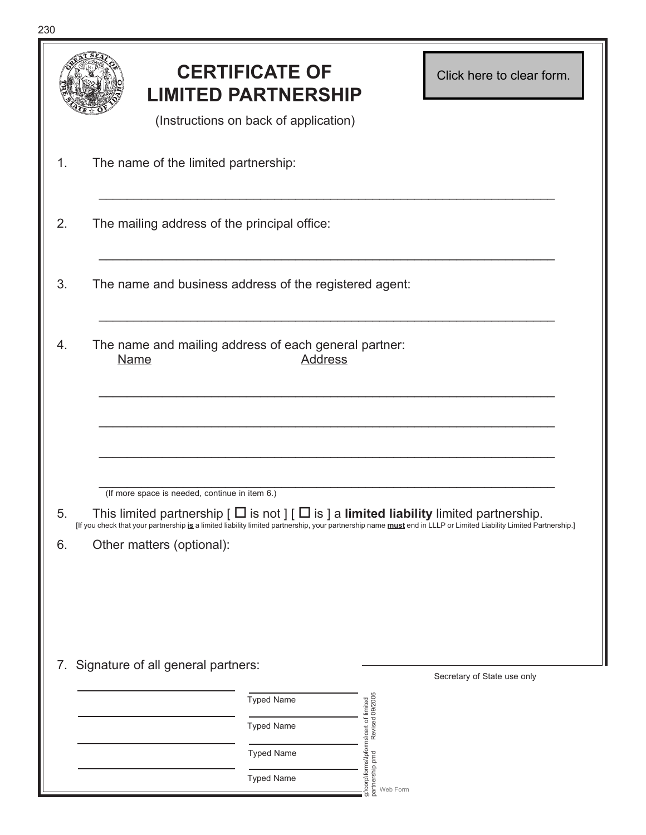|                                                                                                                                                                                                                                                                                                                                       |                                                                                        | <b>CERTIFICATE OF</b><br><b>LIMITED PARTNERSHIP</b><br>(Instructions on back of application) |                                                                        | Click here to clear form. |
|---------------------------------------------------------------------------------------------------------------------------------------------------------------------------------------------------------------------------------------------------------------------------------------------------------------------------------------|----------------------------------------------------------------------------------------|----------------------------------------------------------------------------------------------|------------------------------------------------------------------------|---------------------------|
| 1.                                                                                                                                                                                                                                                                                                                                    | The name of the limited partnership:                                                   |                                                                                              |                                                                        |                           |
| 2.                                                                                                                                                                                                                                                                                                                                    | The mailing address of the principal office:                                           |                                                                                              |                                                                        |                           |
| 3.                                                                                                                                                                                                                                                                                                                                    | The name and business address of the registered agent:                                 |                                                                                              |                                                                        |                           |
| 4.                                                                                                                                                                                                                                                                                                                                    | The name and mailing address of each general partner:<br><b>Name</b><br><b>Address</b> |                                                                                              |                                                                        |                           |
|                                                                                                                                                                                                                                                                                                                                       | (If more space is needed, continue in item 6.)                                         |                                                                                              |                                                                        |                           |
| This limited partnership $\lceil \Box$ is not $\rceil \lceil \Box$ is $\rceil$ a limited liability limited partnership.<br>J.<br>[If you check that your partnership is a limited liability limited partnership, your partnership name must end in LLLP or Limited Liability Limited Partnership.]<br>6.<br>Other matters (optional): |                                                                                        |                                                                                              |                                                                        |                           |
| 7. Signature of all general partners:<br>Secretary of State use only                                                                                                                                                                                                                                                                  |                                                                                        |                                                                                              |                                                                        |                           |
|                                                                                                                                                                                                                                                                                                                                       |                                                                                        | <b>Typed Name</b>                                                                            |                                                                        |                           |
|                                                                                                                                                                                                                                                                                                                                       |                                                                                        | <b>Typed Name</b>                                                                            | :\corp\forms\lpforms\cert of limited<br>artnership.pmd Revised 09/2006 |                           |
|                                                                                                                                                                                                                                                                                                                                       |                                                                                        | <b>Typed Name</b>                                                                            | partnership.pmd                                                        |                           |
|                                                                                                                                                                                                                                                                                                                                       |                                                                                        | <b>Typed Name</b>                                                                            | Web Form<br>ಹ                                                          |                           |